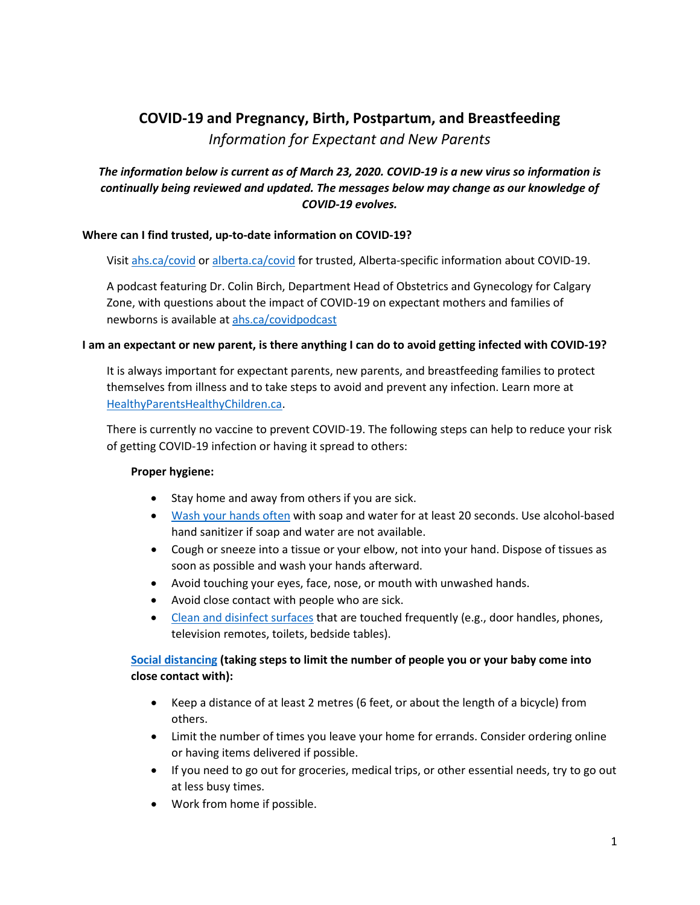# **COVID-19 and Pregnancy, Birth, Postpartum, and Breastfeeding** *Information for Expectant and New Parents*

# *The information below is current as of March 23, 2020. COVID-19 is a new virus so information is continually being reviewed and updated. The messages below may change as our knowledge of COVID-19 evolves.*

## **Where can I find trusted, up-to-date information on COVID-19?**

Visit [ahs.ca/covid](https://www.albertahealthservices.ca/topics/Page16997.aspx) o[r alberta.ca/covid](https://www.alberta.ca/coronavirus-info-for-albertans.aspx) for trusted, Alberta-specific information about COVID-19.

A podcast featuring Dr. Colin Birch, Department Head of Obstetrics and Gynecology for Calgary Zone, with questions about the impact of COVID-19 on expectant mothers and families of newborns is available at [ahs.ca/covidpodcast](https://soundcloud.com/ahs-communications/ahs-covid-19-podcast-dr-colin-birch/s-ai1F4C0paX0)

#### **I am an expectant or new parent, is there anything I can do to avoid getting infected with COVID-19?**

It is always important for expectant parents, new parents, and breastfeeding families to protect themselves from illness and to take steps to avoid and prevent any infection. Learn more at [HealthyParentsHealthyChildren.ca.](https://www.healthyparentshealthychildren.ca/im-pregnant/overview-of-pregnancy/being-safe/)

There is currently no vaccine to prevent COVID-19. The following steps can help to reduce your risk of getting COVID-19 infection or having it spread to others:

#### **Proper hygiene:**

- Stay home and away from others if you are sick.
- [Wash your hands often](https://www.canada.ca/en/public-health/services/publications/diseases-conditions/reduce-spread-covid-19-wash-your-hands.html) with soap and water for at least 20 seconds. Use alcohol-based hand sanitizer if soap and water are not available.
- Cough or sneeze into a tissue or your elbow, not into your hand. Dispose of tissues as soon as possible and wash your hands afterward.
- Avoid touching your eyes, face, nose, or mouth with unwashed hands.
- Avoid close contact with people who are sick.
- [Clean and disinfect surfaces](https://www.healthyparentshealthychildren.ca/im-a-parent/healthy-growing-families/healthy-homes-and-preventing-injuries#cleaning-and-sanitizing) that are touched frequently (e.g., door handles, phones, television remotes, toilets, bedside tables).

## **[Social distancing](https://www.albertahealthservices.ca/topics/Page17008.aspx) (taking steps to limit the number of people you or your baby come into close contact with):**

- Keep a distance of at least 2 metres (6 feet, or about the length of a bicycle) from others.
- Limit the number of times you leave your home for errands. Consider ordering online or having items delivered if possible.
- If you need to go out for groceries, medical trips, or other essential needs, try to go out at less busy times.
- Work from home if possible.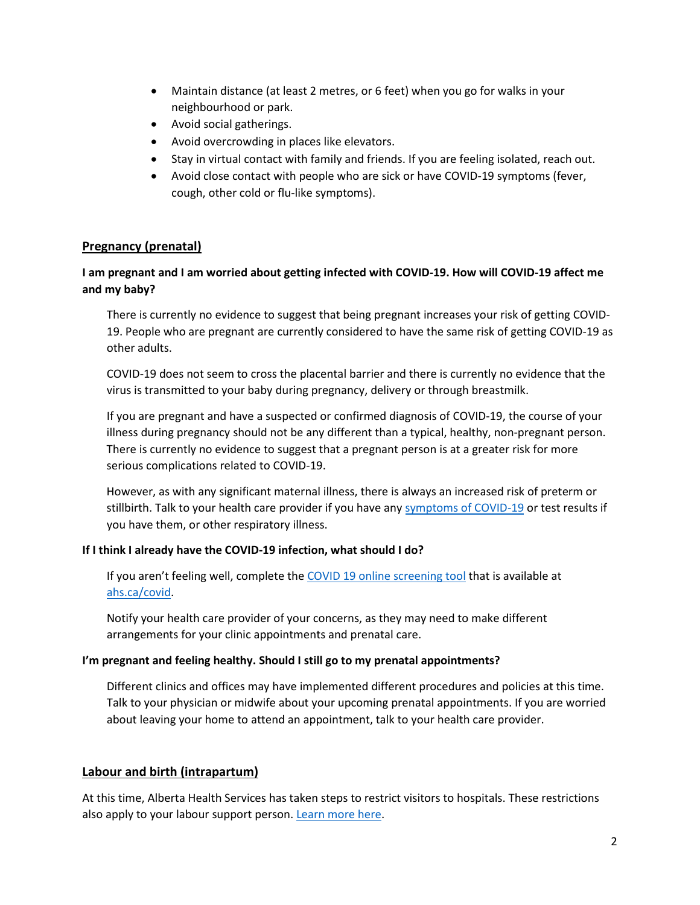- Maintain distance (at least 2 metres, or 6 feet) when you go for walks in your neighbourhood or park.
- Avoid social gatherings.
- Avoid overcrowding in places like elevators.
- Stay in virtual contact with family and friends. If you are feeling isolated, reach out.
- Avoid close contact with people who are sick or have COVID-19 symptoms (fever, cough, other cold or flu-like symptoms).

## **Pregnancy (prenatal)**

## **I am pregnant and I am worried about getting infected with COVID-19. How will COVID-19 affect me and my baby?**

There is currently no evidence to suggest that being pregnant increases your risk of getting COVID-19. People who are pregnant are currently considered to have the same risk of getting COVID-19 as other adults.

COVID-19 does not seem to cross the placental barrier and there is currently no evidence that the virus is transmitted to your baby during pregnancy, delivery or through breastmilk.

If you are pregnant and have a suspected or confirmed diagnosis of COVID-19, the course of your illness during pregnancy should not be any different than a typical, healthy, non-pregnant person. There is currently no evidence to suggest that a pregnant person is at a greater risk for more serious complications related to COVID-19.

However, as with any significant maternal illness, there is always an increased risk of preterm or stillbirth. Talk to your health care provider if you have any [symptoms of COVID-19](https://www.albertahealthservices.ca/topics/Page16997.aspx#sign) or test results if you have them, or other respiratory illness.

#### **If I think I already have the COVID-19 infection, what should I do?**

If you aren't feeling well, complete th[e COVID 19 online screening](https://www.albertahealthservices.ca/topics/Page16944.aspx) tool that is available at [ahs.ca/covid.](https://www.albertahealthservices.ca/topics/Page16944.aspx)

Notify your health care provider of your concerns, as they may need to make different arrangements for your clinic appointments and prenatal care.

#### **I'm pregnant and feeling healthy. Should I still go to my prenatal appointments?**

Different clinics and offices may have implemented different procedures and policies at this time. Talk to your physician or midwife about your upcoming prenatal appointments. If you are worried about leaving your home to attend an appointment, talk to your health care provider.

## **Labour and birth (intrapartum)**

At this time, Alberta Health Services has taken steps to restrict visitors to hospitals. These restrictions also apply to your labour support person. [Learn more here.](https://www.albertahealthservices.ca/topics/Page17001.aspx)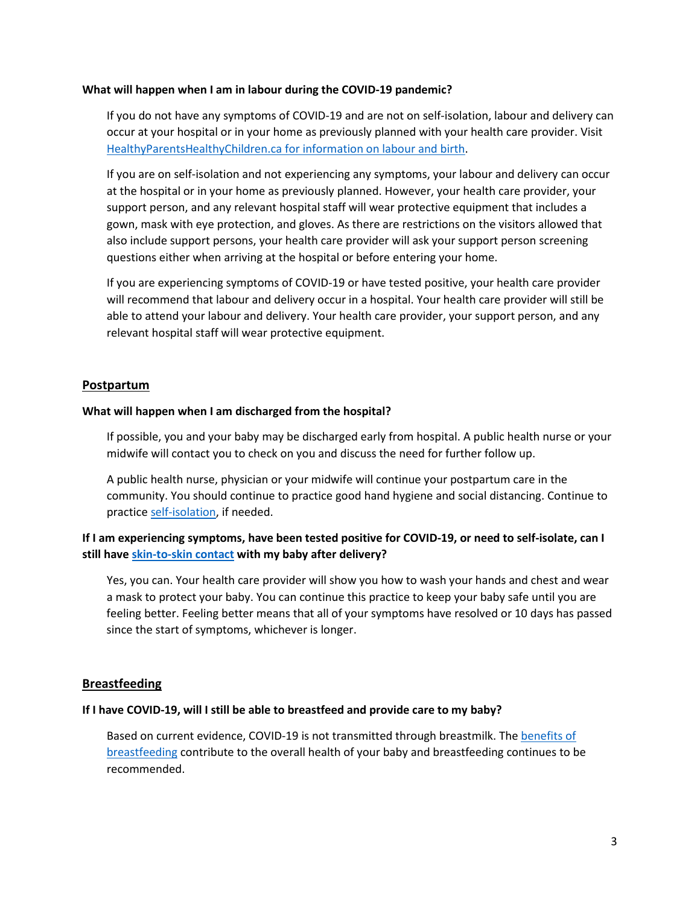#### **What will happen when I am in labour during the COVID-19 pandemic?**

If you do not have any symptoms of COVID-19 and are not on self-isolation, labour and delivery can occur at your hospital or in your home as previously planned with your health care provider. Visit [HealthyParentsHealthyChildren.ca for information on labour and birth.](https://www.healthyparentshealthychildren.ca/im-pregnant/labour-and-birth)

If you are on self-isolation and not experiencing any symptoms, your labour and delivery can occur at the hospital or in your home as previously planned. However, your health care provider, your support person, and any relevant hospital staff will wear protective equipment that includes a gown, mask with eye protection, and gloves. As there are restrictions on the visitors allowed that also include support persons, your health care provider will ask your support person screening questions either when arriving at the hospital or before entering your home.

If you are experiencing symptoms of COVID-19 or have tested positive, your health care provider will recommend that labour and delivery occur in a hospital. Your health care provider will still be able to attend your labour and delivery. Your health care provider, your support person, and any relevant hospital staff will wear protective equipment.

## **Postpartum**

#### **What will happen when I am discharged from the hospital?**

If possible, you and your baby may be discharged early from hospital. A public health nurse or your midwife will contact you to check on you and discuss the need for further follow up.

A public health nurse, physician or your midwife will continue your postpartum care in the community. You should continue to practice good hand hygiene and social distancing. Continue to practic[e self-isolation,](https://www.alberta.ca/self-isolation.aspx) if needed.

## **If I am experiencing symptoms, have been tested positive for COVID-19, or need to self-isolate, can I still have [skin-to-skin contact](https://www.healthyparentshealthychildren.ca/im-pregnant/postpartum/bringing-home-baby#getting-to-know-your-newborn-skin-to-skin) with my baby after delivery?**

Yes, you can. Your health care provider will show you how to wash your hands and chest and wear a mask to protect your baby. You can continue this practice to keep your baby safe until you are feeling better. Feeling better means that all of your symptoms have resolved or 10 days has passed since the start of symptoms, whichever is longer.

#### **Breastfeeding**

#### **If I have COVID-19, will I still be able to breastfeed and provide care to my baby?**

Based on current evidence, COVID-19 is not transmitted through breastmilk. Th[e benefits of](https://www.healthyparentshealthychildren.ca/im-a-parent/feeding-your-baby/breastfeeding-basics)  **[breastfeeding](https://www.healthyparentshealthychildren.ca/im-a-parent/feeding-your-baby/breastfeeding-basics) contribute to the overall health of your baby and breastfeeding continues to be** recommended.